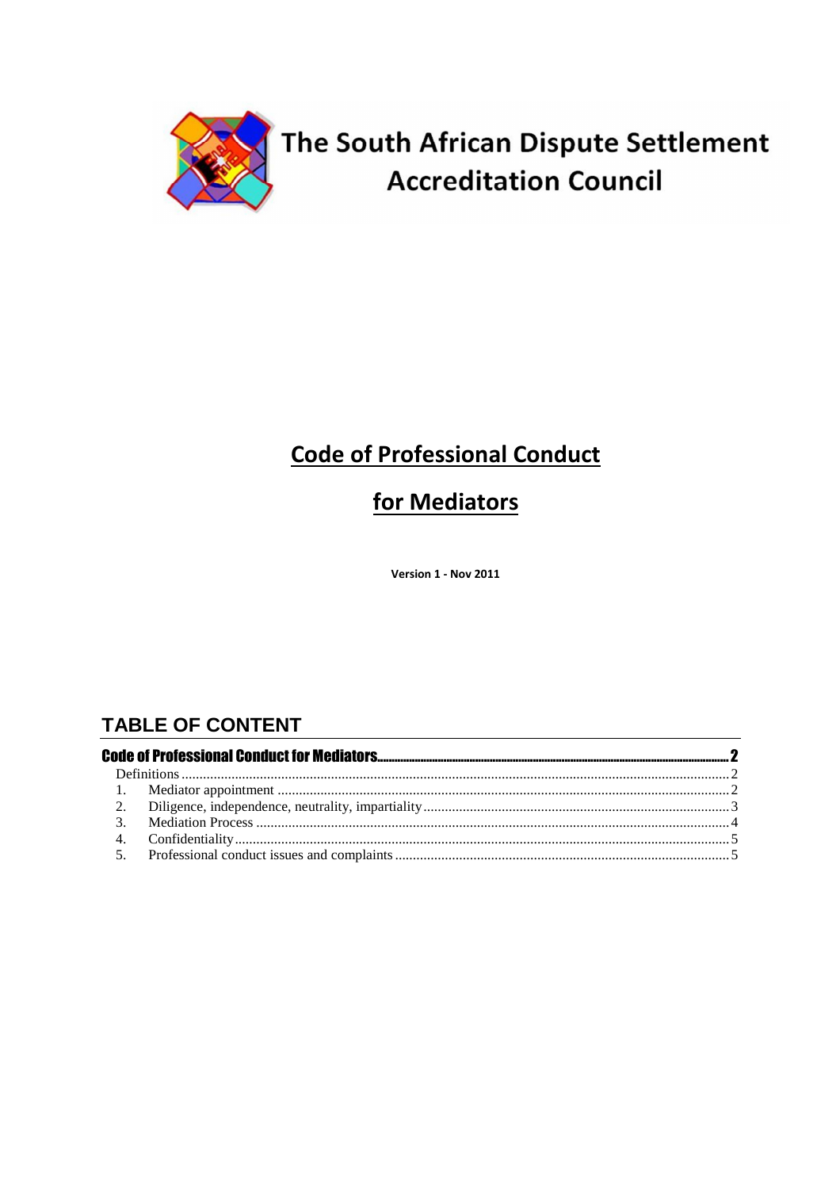

# The South African Dispute Settlement **Accreditation Council**

## **Code of Professional Conduct**

## for Mediators

Version 1 - Nov 2011

## **TABLE OF CONTENT**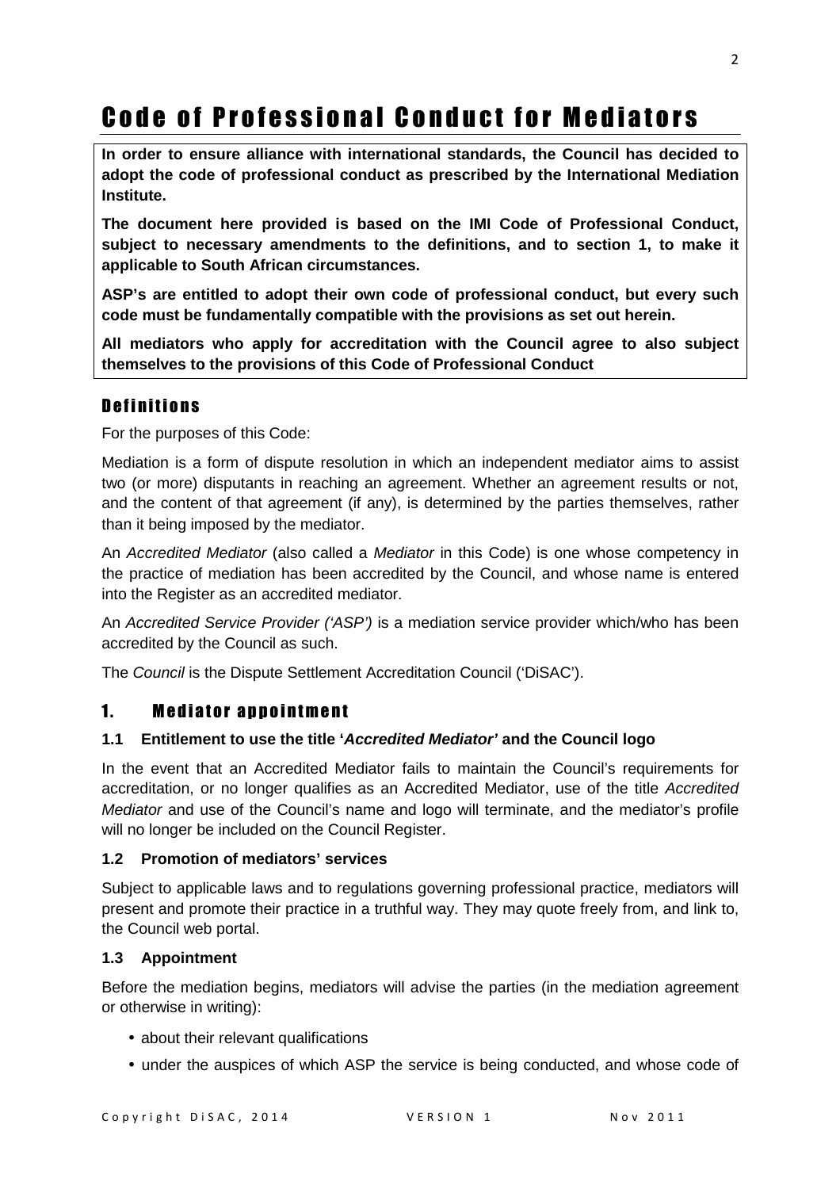# Code of Professional Conduct for Mediators

**In order to ensure alliance with international standards, the Council has decided to adopt the code of professional conduct as prescribed by the International Mediation Institute.** 

**The document here provided is based on the IMI Code of Professional Conduct, subject to necessary amendments to the definitions, and to section 1, to make it applicable to South African circumstances.** 

**ASP's are entitled to adopt their own code of professional conduct, but every such code must be fundamentally compatible with the provisions as set out herein.** 

**All mediators who apply for accreditation with the Council agree to also subject themselves to the provisions of this Code of Professional Conduct** 

## Definitions

For the purposes of this Code:

Mediation is a form of dispute resolution in which an independent mediator aims to assist two (or more) disputants in reaching an agreement. Whether an agreement results or not, and the content of that agreement (if any), is determined by the parties themselves, rather than it being imposed by the mediator.

An Accredited Mediator (also called a Mediator in this Code) is one whose competency in the practice of mediation has been accredited by the Council, and whose name is entered into the Register as an accredited mediator.

An Accredited Service Provider ('ASP') is a mediation service provider which/who has been accredited by the Council as such.

The Council is the Dispute Settlement Accreditation Council ('DiSAC').

## 1. Mediator annointment

#### **1.1 Entitlement to use the title 'Accredited Mediator' and the Council logo**

In the event that an Accredited Mediator fails to maintain the Council's requirements for accreditation, or no longer qualifies as an Accredited Mediator, use of the title Accredited Mediator and use of the Council's name and logo will terminate, and the mediator's profile will no longer be included on the Council Register.

#### **1.2 Promotion of mediators' services**

Subject to applicable laws and to regulations governing professional practice, mediators will present and promote their practice in a truthful way. They may quote freely from, and link to, the Council web portal.

#### **1.3 Appointment**

Before the mediation begins, mediators will advise the parties (in the mediation agreement or otherwise in writing):

- about their relevant qualifications
- under the auspices of which ASP the service is being conducted, and whose code of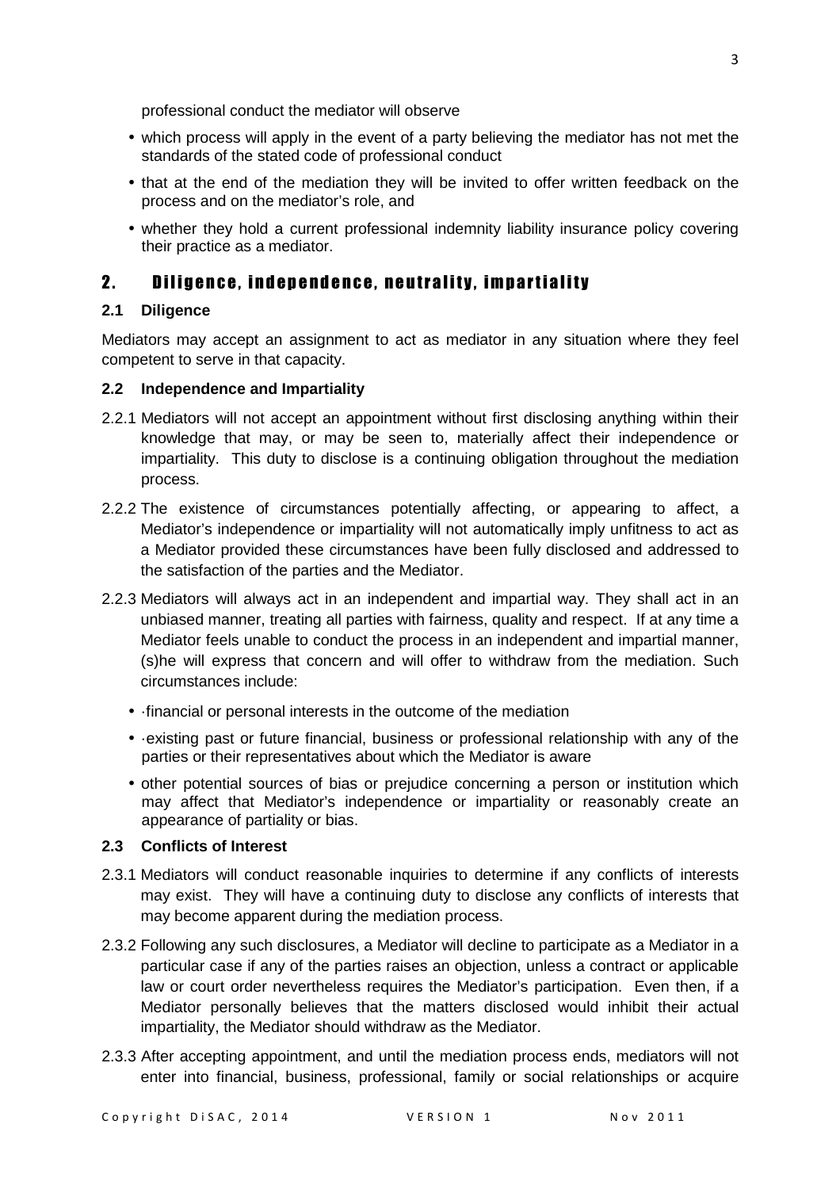professional conduct the mediator will observe

- which process will apply in the event of a party believing the mediator has not met the standards of the stated code of professional conduct
- that at the end of the mediation they will be invited to offer written feedback on the process and on the mediator's role, and
- whether they hold a current professional indemnity liability insurance policy covering their practice as a mediator.

### 2. Diligence, independence, neutrality, impartiality

#### **2.1 Diligence**

Mediators may accept an assignment to act as mediator in any situation where they feel competent to serve in that capacity.

#### **2.2 Independence and Impartiality**

- 2.2.1 Mediators will not accept an appointment without first disclosing anything within their knowledge that may, or may be seen to, materially affect their independence or impartiality. This duty to disclose is a continuing obligation throughout the mediation process.
- 2.2.2 The existence of circumstances potentially affecting, or appearing to affect, a Mediator's independence or impartiality will not automatically imply unfitness to act as a Mediator provided these circumstances have been fully disclosed and addressed to the satisfaction of the parties and the Mediator.
- 2.2.3 Mediators will always act in an independent and impartial way. They shall act in an unbiased manner, treating all parties with fairness, quality and respect. If at any time a Mediator feels unable to conduct the process in an independent and impartial manner, (s)he will express that concern and will offer to withdraw from the mediation. Such circumstances include:
	- ·financial or personal interests in the outcome of the mediation
	- ·existing past or future financial, business or professional relationship with any of the parties or their representatives about which the Mediator is aware
	- other potential sources of bias or prejudice concerning a person or institution which may affect that Mediator's independence or impartiality or reasonably create an appearance of partiality or bias.

#### **2.3 Conflicts of Interest**

- 2.3.1 Mediators will conduct reasonable inquiries to determine if any conflicts of interests may exist. They will have a continuing duty to disclose any conflicts of interests that may become apparent during the mediation process.
- 2.3.2 Following any such disclosures, a Mediator will decline to participate as a Mediator in a particular case if any of the parties raises an objection, unless a contract or applicable law or court order nevertheless requires the Mediator's participation. Even then, if a Mediator personally believes that the matters disclosed would inhibit their actual impartiality, the Mediator should withdraw as the Mediator.
- 2.3.3 After accepting appointment, and until the mediation process ends, mediators will not enter into financial, business, professional, family or social relationships or acquire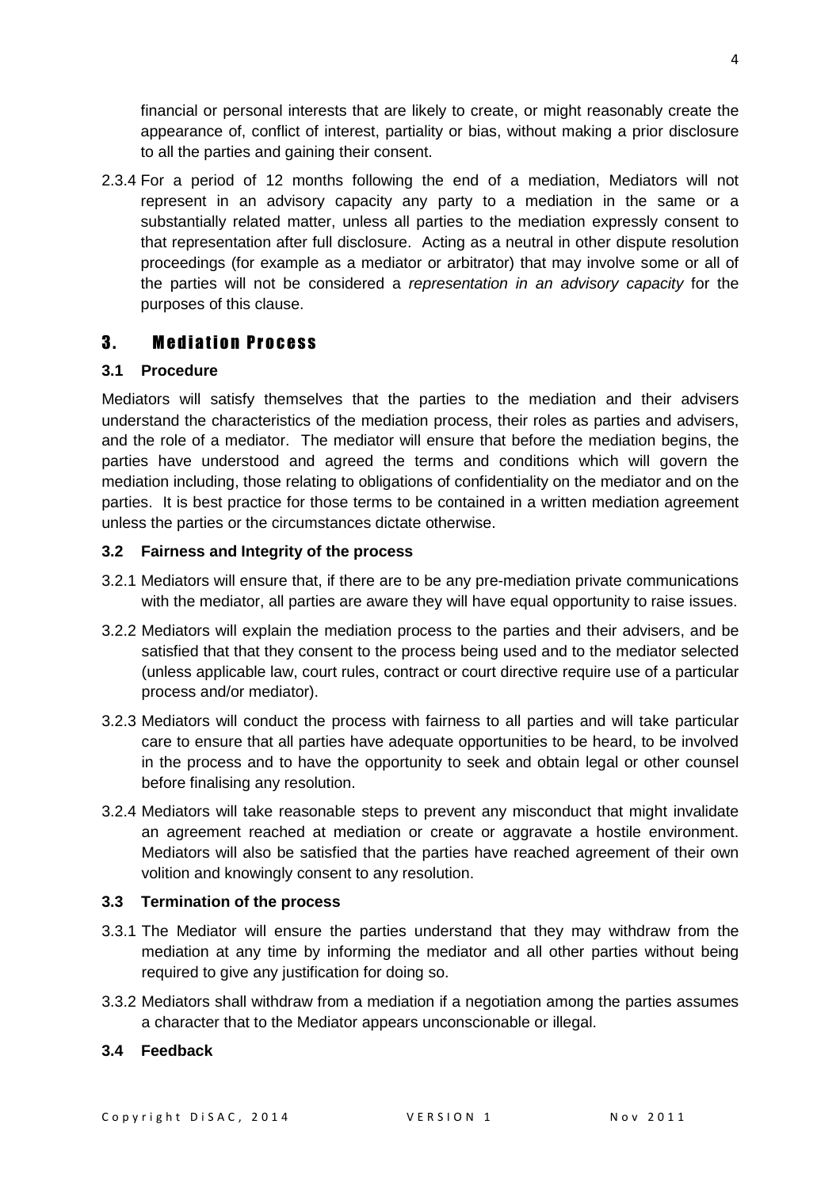financial or personal interests that are likely to create, or might reasonably create the appearance of, conflict of interest, partiality or bias, without making a prior disclosure to all the parties and gaining their consent.

2.3.4 For a period of 12 months following the end of a mediation, Mediators will not represent in an advisory capacity any party to a mediation in the same or a substantially related matter, unless all parties to the mediation expressly consent to that representation after full disclosure. Acting as a neutral in other dispute resolution proceedings (for example as a mediator or arbitrator) that may involve some or all of the parties will not be considered a representation in an advisory capacity for the purposes of this clause.

### **3. Mediation Process**

#### **3.1 Procedure**

Mediators will satisfy themselves that the parties to the mediation and their advisers understand the characteristics of the mediation process, their roles as parties and advisers, and the role of a mediator. The mediator will ensure that before the mediation begins, the parties have understood and agreed the terms and conditions which will govern the mediation including, those relating to obligations of confidentiality on the mediator and on the parties. It is best practice for those terms to be contained in a written mediation agreement unless the parties or the circumstances dictate otherwise.

#### **3.2 Fairness and Integrity of the process**

- 3.2.1 Mediators will ensure that, if there are to be any pre-mediation private communications with the mediator, all parties are aware they will have equal opportunity to raise issues.
- 3.2.2 Mediators will explain the mediation process to the parties and their advisers, and be satisfied that that they consent to the process being used and to the mediator selected (unless applicable law, court rules, contract or court directive require use of a particular process and/or mediator).
- 3.2.3 Mediators will conduct the process with fairness to all parties and will take particular care to ensure that all parties have adequate opportunities to be heard, to be involved in the process and to have the opportunity to seek and obtain legal or other counsel before finalising any resolution.
- 3.2.4 Mediators will take reasonable steps to prevent any misconduct that might invalidate an agreement reached at mediation or create or aggravate a hostile environment. Mediators will also be satisfied that the parties have reached agreement of their own volition and knowingly consent to any resolution.

#### **3.3 Termination of the process**

- 3.3.1 The Mediator will ensure the parties understand that they may withdraw from the mediation at any time by informing the mediator and all other parties without being required to give any justification for doing so.
- 3.3.2 Mediators shall withdraw from a mediation if a negotiation among the parties assumes a character that to the Mediator appears unconscionable or illegal.

#### **3.4 Feedback**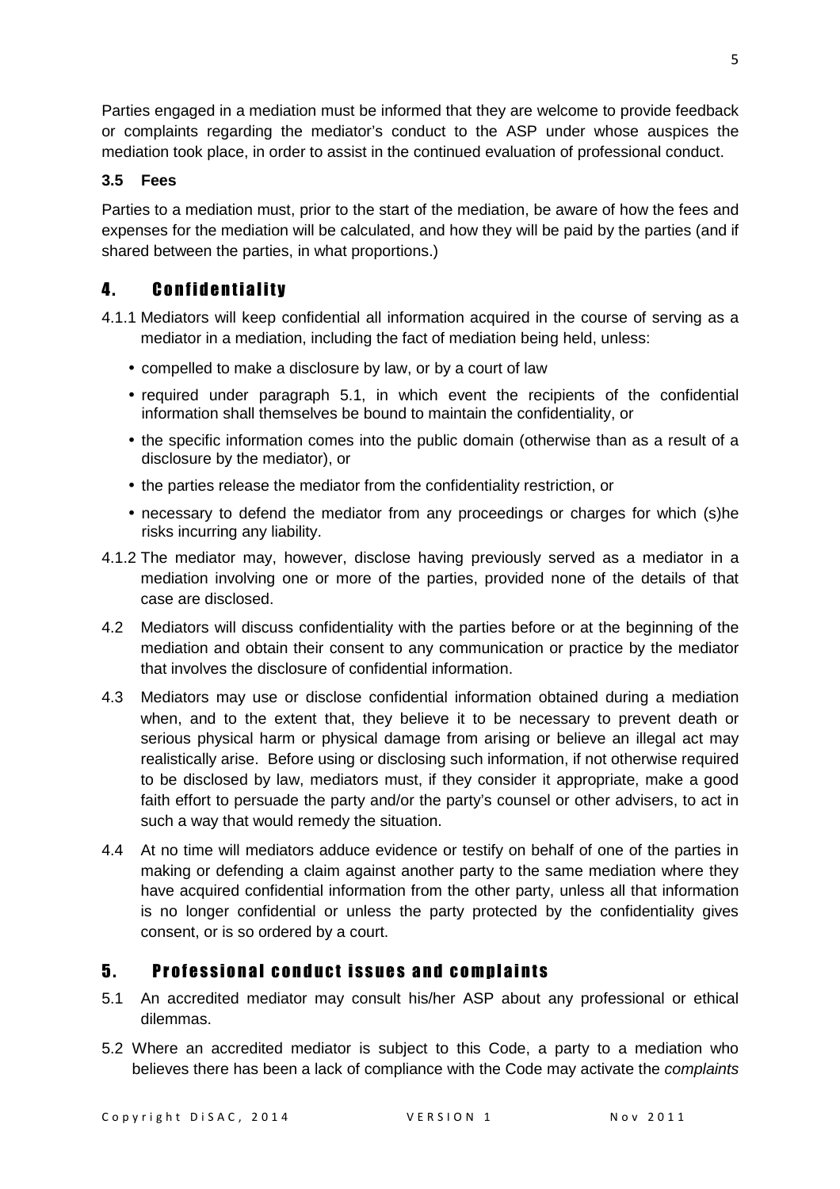Parties engaged in a mediation must be informed that they are welcome to provide feedback or complaints regarding the mediator's conduct to the ASP under whose auspices the mediation took place, in order to assist in the continued evaluation of professional conduct.

### **3.5 Fees**

Parties to a mediation must, prior to the start of the mediation, be aware of how the fees and expenses for the mediation will be calculated, and how they will be paid by the parties (and if shared between the parties, in what proportions.)

## 4. **Confidentiality**

- 4.1.1 Mediators will keep confidential all information acquired in the course of serving as a mediator in a mediation, including the fact of mediation being held, unless:
	- compelled to make a disclosure by law, or by a court of law
	- required under paragraph 5.1, in which event the recipients of the confidential information shall themselves be bound to maintain the confidentiality, or
	- the specific information comes into the public domain (otherwise than as a result of a disclosure by the mediator), or
	- the parties release the mediator from the confidentiality restriction, or
	- necessary to defend the mediator from any proceedings or charges for which (s)he risks incurring any liability.
- 4.1.2 The mediator may, however, disclose having previously served as a mediator in a mediation involving one or more of the parties, provided none of the details of that case are disclosed.
- 4.2 Mediators will discuss confidentiality with the parties before or at the beginning of the mediation and obtain their consent to any communication or practice by the mediator that involves the disclosure of confidential information.
- 4.3 Mediators may use or disclose confidential information obtained during a mediation when, and to the extent that, they believe it to be necessary to prevent death or serious physical harm or physical damage from arising or believe an illegal act may realistically arise. Before using or disclosing such information, if not otherwise required to be disclosed by law, mediators must, if they consider it appropriate, make a good faith effort to persuade the party and/or the party's counsel or other advisers, to act in such a way that would remedy the situation.
- 4.4 At no time will mediators adduce evidence or testify on behalf of one of the parties in making or defending a claim against another party to the same mediation where they have acquired confidential information from the other party, unless all that information is no longer confidential or unless the party protected by the confidentiality gives consent, or is so ordered by a court.

## 5. Professional conduct issues and complaints

- 5.1 An accredited mediator may consult his/her ASP about any professional or ethical dilemmas.
- 5.2 Where an accredited mediator is subject to this Code, a party to a mediation who believes there has been a lack of compliance with the Code may activate the *complaints*